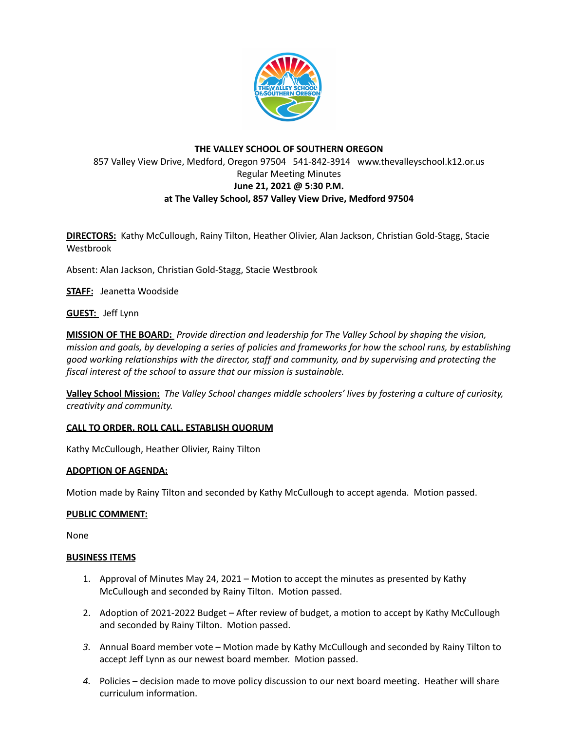

# **THE VALLEY SCHOOL OF SOUTHERN OREGON** 857 Valley View Drive, Medford, Oregon 97504 541-842-3914 www.thevalleyschool.k12.or.us Regular Meeting Minutes **June 21, 2021 @ 5:30 P.M. at The Valley School, 857 Valley View Drive, Medford 97504**

**DIRECTORS:** Kathy McCullough, Rainy Tilton, Heather Olivier, Alan Jackson, Christian Gold-Stagg, Stacie Westbrook

Absent: Alan Jackson, Christian Gold-Stagg, Stacie Westbrook

**STAFF:** Jeanetta Woodside

**GUEST:** Jeff Lynn

**MISSION OF THE BOARD:** *Provide direction and leadership for The Valley School by shaping the vision,* mission and goals, by developing a series of policies and frameworks for how the school runs, by establishing *good working relationships with the director, staff and community, and by supervising and protecting the fiscal interest of the school to assure that our mission is sustainable.*

**Valley School Mission:** *The Valley School changes middle schoolers' lives by fostering a culture of curiosity, creativity and community.*

## **CALL TO ORDER, ROLL CALL, ESTABLISH QUORUM**

Kathy McCullough, Heather Olivier, Rainy Tilton

#### **ADOPTION OF AGENDA:**

Motion made by Rainy Tilton and seconded by Kathy McCullough to accept agenda. Motion passed.

#### **PUBLIC COMMENT:**

None

#### **BUSINESS ITEMS**

- 1. Approval of Minutes May 24, 2021 Motion to accept the minutes as presented by Kathy McCullough and seconded by Rainy Tilton. Motion passed.
- 2. Adoption of 2021-2022 Budget After review of budget, a motion to accept by Kathy McCullough and seconded by Rainy Tilton. Motion passed.
- *3.* Annual Board member vote Motion made by Kathy McCullough and seconded by Rainy Tilton to accept Jeff Lynn as our newest board member. Motion passed.
- *4.* Policies decision made to move policy discussion to our next board meeting. Heather will share curriculum information.